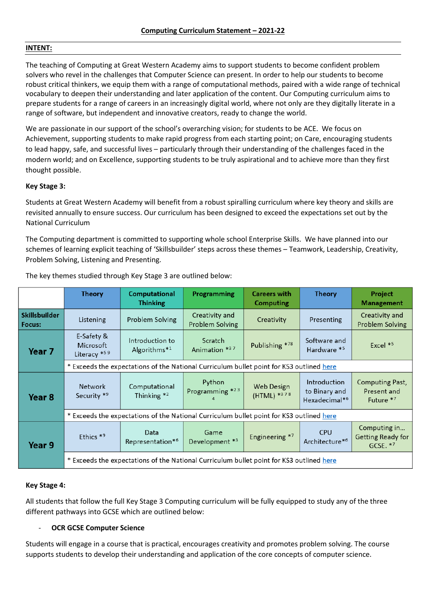## **INTENT:**

The teaching of Computing at Great Western Academy aims to support students to become confident problem solvers who revel in the challenges that Computer Science can present. In order to help our students to become robust critical thinkers, we equip them with a range of computational methods, paired with a wide range of technical vocabulary to deepen their understanding and later application of the content. Our Computing curriculum aims to prepare students for a range of careers in an increasingly digital world, where not only are they digitally literate in a range of software, but independent and innovative creators, ready to change the world.

We are passionate in our support of the school's overarching vision; for students to be ACE. We focus on Achievement, supporting students to make rapid progress from each starting point; on Care, encouraging students to lead happy, safe, and successful lives – particularly through their understanding of the challenges faced in the modern world; and on Excellence, supporting students to be truly aspirational and to achieve more than they first thought possible.

## **Key Stage 3:**

Students at Great Western Academy will benefit from a robust spiralling curriculum where key theory and skills are revisited annually to ensure success. Our curriculum has been designed to exceed the expectations set out by the National Curriculum

The Computing department is committed to supporting whole school Enterprise Skills. We have planned into our schemes of learning explicit teaching of 'Skillsbuilder' steps across these themes – Teamwork, Leadership, Creativity, Problem Solving, Listening and Presenting.

|                                | Theory                                                                                   | Computational<br><b>Thinking</b>            | Programming                              | <b>Careers with</b><br><b>Computing</b> | <b>Theory</b>                                              | Project<br><b>Management</b>                       |
|--------------------------------|------------------------------------------------------------------------------------------|---------------------------------------------|------------------------------------------|-----------------------------------------|------------------------------------------------------------|----------------------------------------------------|
| <b>Skillsbuilder</b><br>Focus: | Listening                                                                                | Problem Solving                             | Creativity and<br><b>Problem Solving</b> | Creativity                              | Presenting                                                 | Creativity and<br><b>Problem Solving</b>           |
| Year 7                         | E-Safety &<br><b>Microsoft</b><br>Literacy *59                                           | Introduction to<br>Algorithms* <sup>1</sup> | Scratch<br>Animation *37                 | Publishing *78                          | Software and<br>Hardware *5                                | Excel $*5$                                         |
|                                | * Exceeds the expectations of the National Curriculum bullet point for KS3 outlined here |                                             |                                          |                                         |                                                            |                                                    |
| Year 8                         | <b>Network</b><br>Security *9                                                            | Computational<br>Thinking *2                | Python<br>Programming *23                | <b>Web Design</b><br>(HTML) *378        | Introduction<br>to Binary and<br>Hexadecimal* <sup>6</sup> | <b>Computing Past,</b><br>Present and<br>Future *7 |
|                                | * Exceeds the expectations of the National Curriculum bullet point for KS3 outlined here |                                             |                                          |                                         |                                                            |                                                    |
| Year 9                         | Ethics <sup>*9</sup>                                                                     | Data<br>Representation* <sup>6</sup>        | Game<br>Development *3                   | Engineering *7                          | <b>CPU</b><br>Architecture*6                               | Computing in<br>Getting Ready for<br>GCSE. $*7$    |
|                                | * Exceeds the expectations of the National Curriculum bullet point for KS3 outlined here |                                             |                                          |                                         |                                                            |                                                    |

The key themes studied through Key Stage 3 are outlined below:

## **Key Stage 4:**

All students that follow the full Key Stage 3 Computing curriculum will be fully equipped to study any of the three different pathways into GCSE which are outlined below:

## **OCR GCSE Computer Science**

Students will engage in a course that is practical, encourages creativity and promotes problem solving. The course supports students to develop their understanding and application of the core concepts of computer science.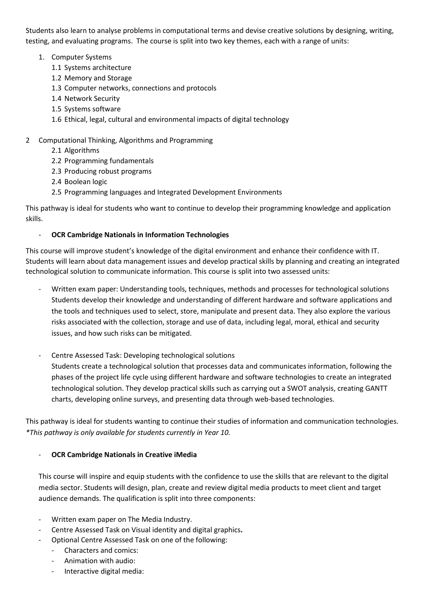Students also learn to analyse problems in computational terms and devise creative solutions by designing, writing, testing, and evaluating programs. The course is split into two key themes, each with a range of units:

- 1. Computer Systems
	- 1.1 Systems architecture
	- 1.2 Memory and Storage
	- 1.3 Computer networks, connections and protocols
	- 1.4 Network Security
	- 1.5 Systems software
	- 1.6 Ethical, legal, cultural and environmental impacts of digital technology

# 2 Computational Thinking, Algorithms and Programming

- 2.1 Algorithms
- 2.2 Programming fundamentals
- 2.3 Producing robust programs
- 2.4 Boolean logic
- 2.5 Programming languages and Integrated Development Environments

This pathway is ideal for students who want to continue to develop their programming knowledge and application skills.

# - **OCR Cambridge Nationals in Information Technologies**

This course will improve student's knowledge of the digital environment and enhance their confidence with IT. Students will learn about data management issues and develop practical skills by planning and creating an integrated technological solution to communicate information. This course is split into two assessed units:

- Written exam paper: Understanding tools, techniques, methods and processes for technological solutions Students develop their knowledge and understanding of different hardware and software applications and the tools and techniques used to select, store, manipulate and present data. They also explore the various risks associated with the collection, storage and use of data, including legal, moral, ethical and security issues, and how such risks can be mitigated.
- Centre Assessed Task: Developing technological solutions

Students create a technological solution that processes data and communicates information, following the phases of the project life cycle using different hardware and software technologies to create an integrated technological solution. They develop practical skills such as carrying out a SWOT analysis, creating GANTT charts, developing online surveys, and presenting data through web-based technologies.

This pathway is ideal for students wanting to continue their studies of information and communication technologies. *\*This pathway is only available for students currently in Year 10.*

# - **OCR Cambridge Nationals in Creative iMedia**

This course will inspire and equip students with the confidence to use the skills that are relevant to the digital media sector. Students will design, plan, create and review digital media products to meet client and target audience demands. The qualification is split into three components:

- Written exam paper on The Media Industry.
- Centre Assessed Task on Visual identity and digital graphics**.**
- Optional Centre Assessed Task on one of the following:
	- Characters and comics:
		- Animation with audio:
		- Interactive digital media: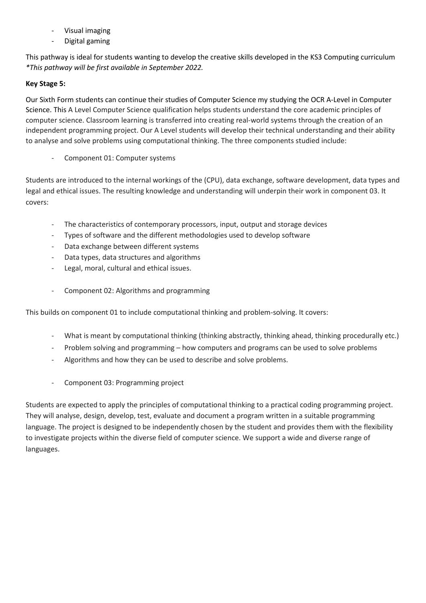- Visual imaging
- Digital gaming

This pathway is ideal for students wanting to develop the creative skills developed in the KS3 Computing curriculum *\*This pathway will be first available in September 2022.*

## **Key Stage 5:**

Our Sixth Form students can continue their studies of Computer Science my studying the OCR A-Level in Computer Science. This A Level Computer Science qualification helps students understand the core academic principles of computer science. Classroom learning is transferred into creating real-world systems through the creation of an independent programming project. Our A Level students will develop their technical understanding and their ability to analyse and solve problems using computational thinking. The three components studied include:

Component 01: Computer systems

Students are introduced to the internal workings of the (CPU), data exchange, software development, data types and legal and ethical issues. The resulting knowledge and understanding will underpin their work in component 03. It covers:

- The characteristics of contemporary processors, input, output and storage devices
- Types of software and the different methodologies used to develop software
- Data exchange between different systems
- Data types, data structures and algorithms
- Legal, moral, cultural and ethical issues.
- Component 02: Algorithms and programming

This builds on component 01 to include computational thinking and problem-solving. It covers:

- What is meant by computational thinking (thinking abstractly, thinking ahead, thinking procedurally etc.)
- Problem solving and programming how computers and programs can be used to solve problems
- Algorithms and how they can be used to describe and solve problems.
- Component 03: Programming project

Students are expected to apply the principles of computational thinking to a practical coding programming project. They will analyse, design, develop, test, evaluate and document a program written in a suitable programming language. The project is designed to be independently chosen by the student and provides them with the flexibility to investigate projects within the diverse field of computer science. We support a wide and diverse range of languages.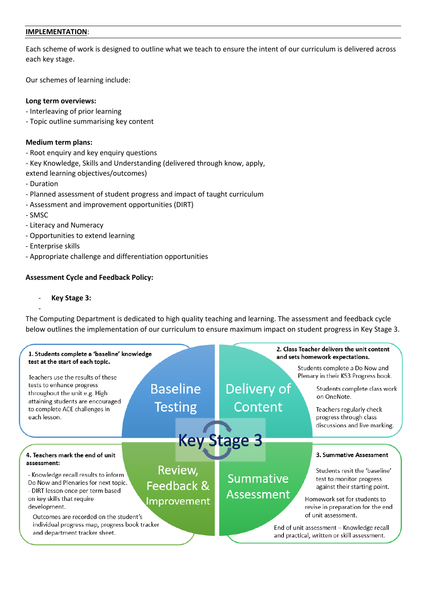## **IMPLEMENTATION**:

Each scheme of work is designed to outline what we teach to ensure the intent of our curriculum is delivered across each key stage.

Our schemes of learning include:

## **Long term overviews:**

- Interleaving of prior learning
- Topic outline summarising key content

## **Medium term plans:**

- Root enquiry and key enquiry questions
- Key Knowledge, Skills and Understanding (delivered through know, apply,
- extend learning objectives/outcomes)
- Duration
- Planned assessment of student progress and impact of taught curriculum
- Assessment and improvement opportunities (DIRT)
- SMSC

-

- Literacy and Numeracy
- Opportunities to extend learning
- Enterprise skills
- Appropriate challenge and differentiation opportunities

## **Assessment Cycle and Feedback Policy:**

## - **Key Stage 3:**

The Computing Department is dedicated to high quality teaching and learning. The assessment and feedback cycle below outlines the implementation of our curriculum to ensure maximum impact on student progress in Key Stage 3.